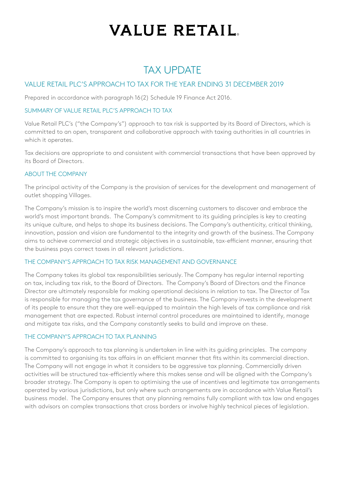## **VALUE RETAIL.**

### TAX UPDATE

### VALUE RETAIL PLC'S APPROACH TO TAX FOR THE YEAR ENDING 31 DECEMBER 2019

Prepared in accordance with paragraph 16(2) Schedule 19 Finance Act 2016.

#### SUMMARY OF VALUE RETAIL PLC'S APPROACH TO TAX

Value Retail PLC's ("the Company's") approach to tax risk is supported by its Board of Directors, which is committed to an open, transparent and collaborative approach with taxing authorities in all countries in which it operates.

Tax decisions are appropriate to and consistent with commercial transactions that have been approved by its Board of Directors.

#### ABOUT THE COMPANY

The principal activity of the Company is the provision of services for the development and management of outlet shopping Villages.

The Company's mission is to inspire the world's most discerning customers to discover and embrace the world's most important brands. The Company's commitment to its guiding principles is key to creating its unique culture, and helps to shape its business decisions. The Company's authenticity, critical thinking, innovation, passion and vision are fundamental to the integrity and growth of the business. The Company aims to achieve commercial and strategic objectives in a sustainable, tax-efficient manner, ensuring that the business pays correct taxes in all relevant jurisdictions.

#### THE COMPANY'S APPROACH TO TAX RISK MANAGEMENT AND GOVERNANCE

The Company takes its global tax responsibilities seriously. The Company has regular internal reporting on tax, including tax risk, to the Board of Directors. The Company's Board of Directors and the Finance Director are ultimately responsible for making operational decisions in relation to tax. The Director of Tax is responsible for managing the tax governance of the business. The Company invests in the development of its people to ensure that they are well-equipped to maintain the high levels of tax compliance and risk management that are expected. Robust internal control procedures are maintained to identify, manage and mitigate tax risks, and the Company constantly seeks to build and improve on these.

#### THE COMPANY'S APPROACH TO TAX PLANNING

The Company's approach to tax planning is undertaken in line with its guiding principles. The company is committed to organising its tax affairs in an efficient manner that fits within its commercial direction. The Company will not engage in what it considers to be aggressive tax planning. Commercially driven activities will be structured tax-efficiently where this makes sense and will be aligned with the Company's broader strategy. The Company is open to optimising the use of incentives and legitimate tax arrangements operated by various jurisdictions, but only where such arrangements are in accordance with Value Retail's business model. The Company ensures that any planning remains fully compliant with tax law and engages with advisors on complex transactions that cross borders or involve highly technical pieces of legislation.